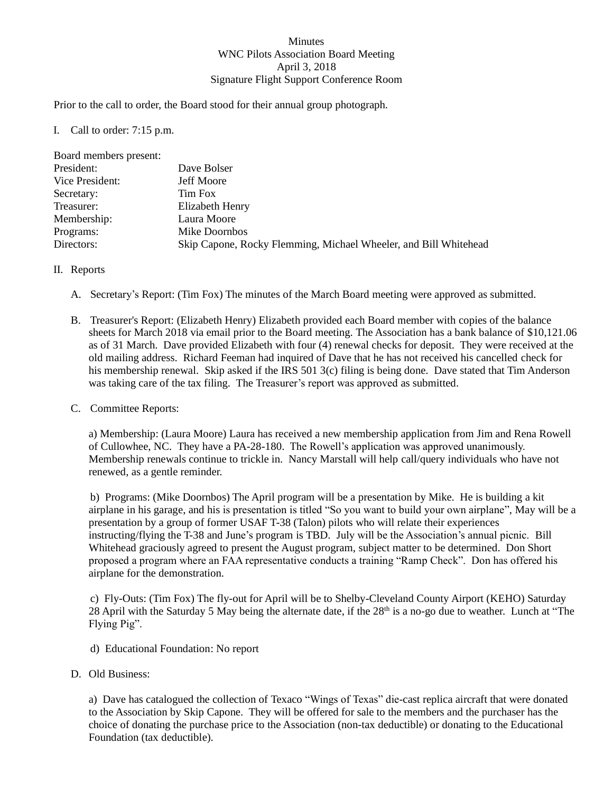## Minutes WNC Pilots Association Board Meeting April 3, 2018 Signature Flight Support Conference Room

Prior to the call to order, the Board stood for their annual group photograph.

I. Call to order: 7:15 p.m.

| Board members present: |                                                                  |
|------------------------|------------------------------------------------------------------|
| President:             | Dave Bolser                                                      |
| Vice President:        | <b>Jeff Moore</b>                                                |
| Secretary:             | Tim Fox                                                          |
| Treasurer:             | Elizabeth Henry                                                  |
| Membership:            | Laura Moore                                                      |
| Programs:              | Mike Doornbos                                                    |
| Directors:             | Skip Capone, Rocky Flemming, Michael Wheeler, and Bill Whitehead |

## II. Reports

- A. Secretary's Report: (Tim Fox) The minutes of the March Board meeting were approved as submitted.
- B. Treasurer's Report: (Elizabeth Henry) Elizabeth provided each Board member with copies of the balance sheets for March 2018 via email prior to the Board meeting. The Association has a bank balance of \$10,121.06 as of 31 March. Dave provided Elizabeth with four (4) renewal checks for deposit. They were received at the old mailing address. Richard Feeman had inquired of Dave that he has not received his cancelled check for his membership renewal. Skip asked if the IRS 501 3(c) filing is being done. Dave stated that Tim Anderson was taking care of the tax filing. The Treasurer's report was approved as submitted.

## C. Committee Reports:

a) Membership: (Laura Moore) Laura has received a new membership application from Jim and Rena Rowell of Cullowhee, NC. They have a PA-28-180. The Rowell's application was approved unanimously. Membership renewals continue to trickle in. Nancy Marstall will help call/query individuals who have not renewed, as a gentle reminder.

b) Programs: (Mike Doornbos) The April program will be a presentation by Mike. He is building a kit airplane in his garage, and his is presentation is titled "So you want to build your own airplane", May will be a presentation by a group of former USAF T-38 (Talon) pilots who will relate their experiences instructing/flying the T-38 and June's program is TBD. July will be the Association's annual picnic. Bill Whitehead graciously agreed to present the August program, subject matter to be determined. Don Short proposed a program where an FAA representative conducts a training "Ramp Check". Don has offered his airplane for the demonstration.

c) Fly-Outs: (Tim Fox) The fly-out for April will be to Shelby-Cleveland County Airport (KEHO) Saturday 28 April with the Saturday 5 May being the alternate date, if the 28<sup>th</sup> is a no-go due to weather. Lunch at "The Flying Pig".

- d) Educational Foundation: No report
- D. Old Business:

a) Dave has catalogued the collection of Texaco "Wings of Texas" die-cast replica aircraft that were donated to the Association by Skip Capone. They will be offered for sale to the members and the purchaser has the choice of donating the purchase price to the Association (non-tax deductible) or donating to the Educational Foundation (tax deductible).